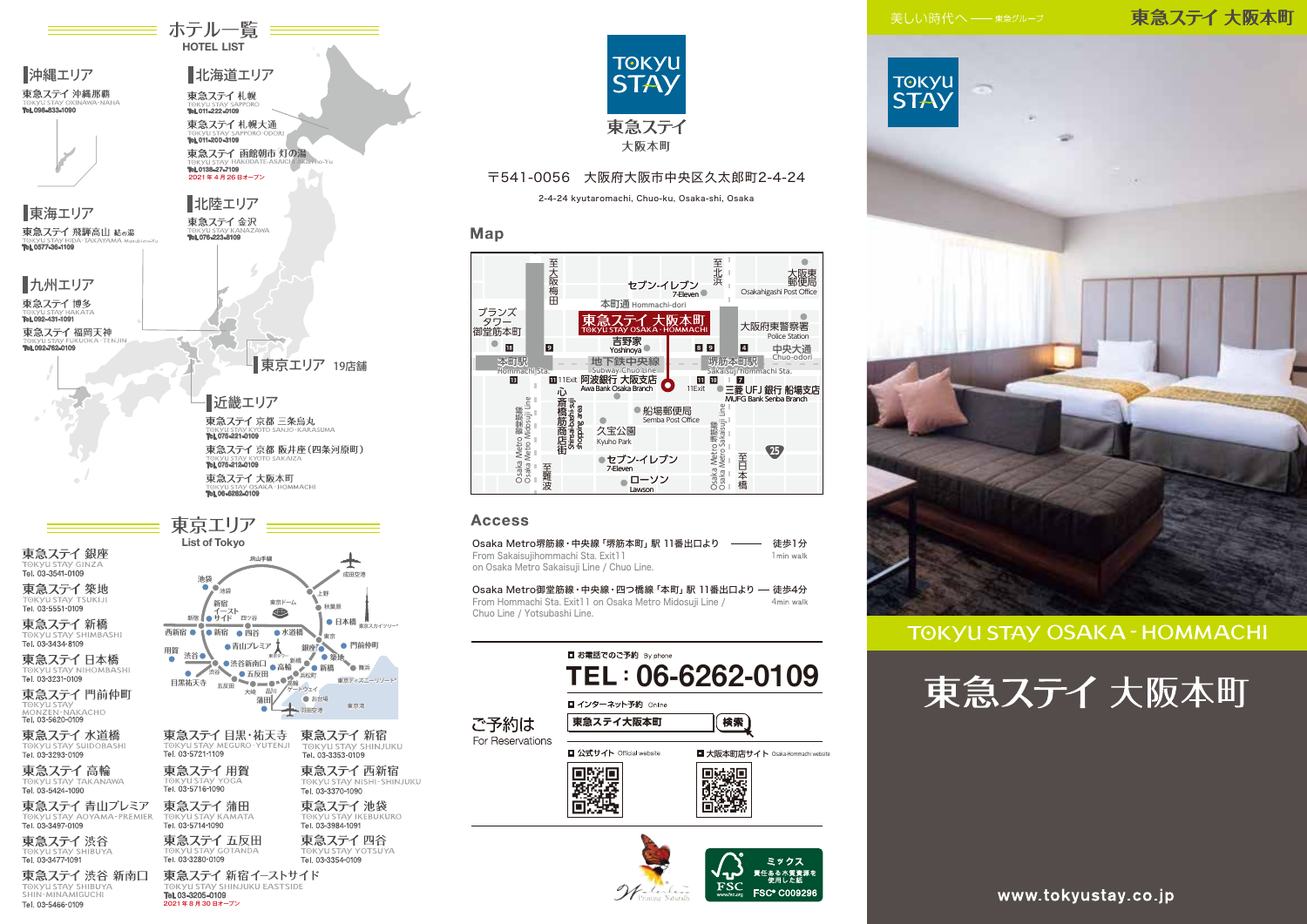### 東急ステイ 大阪本町



### **TOKYU STAY OSAKA - HOMMACHI**







≡ ホテル一覧 =====

TOKYU STAY TS 東急ステイ新橋

沖縄エリア

東急ステイ 沖縄那覇

Tel. 098-833-1090

Tel. 03-3434-8109 東急ステイ日本橋

東急ステイ門前仲町 TOKYU STAY<br>MONZEN-NAKACHO<br>**Tel. 03-5620-0109** 

東急ステイ 水道橋 TOKYU STAY SUIDOBASHI<br>**Tel. 03-3293-0109** 

東急ステイ高輪 TOKYU STAY TA<br>Tel. 03-5424-1090

東急ステイ 青山プレミア Tel. 03-3497-0109

東急ステイ渋谷

東急ステイ 渋谷 新南口 TOKYU STAY SHIBUYA

Tel. 03-5466-0109

**日本橋 <sub>東京スカイツリー</sub>。 門前仲町** <sup>東京タワー</sup>新橋 ● 築地<br>●高輪 ● ● 新橋 ● ● 舞浜 東京ディズニーリゾート® 東急ステイ 新宿 TOKYU STAY SHINJUKU<br>TOKYU STAY SHINJUKU 東急ステイ西新宿 TOKYU STAY NISHI-SHINJUKU 東急ステイ池袋 TOKYU STAY IKEBUKURO 東急ステイ四谷

.<br>SHINJIJKIJ FASTSIDE Tel. 03-3205-0109 2021 年 8 月 30 日オープン



#### 〒541-0056 大阪府大阪市中央区久太郎町2-4-24

2-4-24 kyutaromachi, Chuo-ku, Osaka-shi, Osaka

#### Map



#### Access

| Osaka Metro堺筋線・中央線「堺筋本町」駅 11番出口より          | 徒歩1分       |
|--------------------------------------------|------------|
| From Sakaisujihommachi Sta. Exit11         | 1 min walk |
| on Osaka Metro Sakaisuji Line / Chuo Line. |            |

From Hommachi Sta. Exit11 on Osaka Metro Midosuji Line / Chuo Line / Yotsubashi Line. Osaka Metro御堂筋線・中央線・四つ橋線「本町」駅 11番出口より – 徒歩4分 Amin walk



**FSC® C0092**